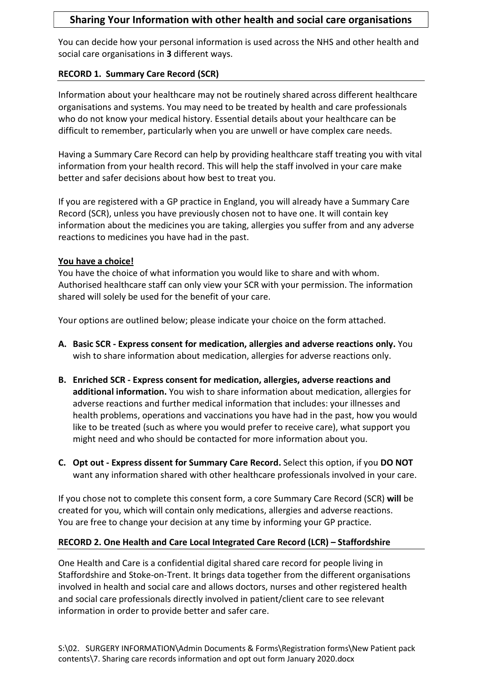### Sharing Your Information with other health and social care organisations

You can decide how your personal information is used across the NHS and other health and social care organisations in 3 different ways.

### RECORD 1. Summary Care Record (SCR)

Information about your healthcare may not be routinely shared across different healthcare organisations and systems. You may need to be treated by health and care professionals who do not know your medical history. Essential details about your healthcare can be difficult to remember, particularly when you are unwell or have complex care needs.

Having a Summary Care Record can help by providing healthcare staff treating you with vital information from your health record. This will help the staff involved in your care make better and safer decisions about how best to treat you.

If you are registered with a GP practice in England, you will already have a Summary Care Record (SCR), unless you have previously chosen not to have one. It will contain key information about the medicines you are taking, allergies you suffer from and any adverse reactions to medicines you have had in the past.

### You have a choice!

You have the choice of what information you would like to share and with whom. Authorised healthcare staff can only view your SCR with your permission. The information shared will solely be used for the benefit of your care.

Your options are outlined below; please indicate your choice on the form attached.

- A. Basic SCR Express consent for medication, allergies and adverse reactions only. You wish to share information about medication, allergies for adverse reactions only.
- B. Enriched SCR Express consent for medication, allergies, adverse reactions and additional information. You wish to share information about medication, allergies for adverse reactions and further medical information that includes: your illnesses and health problems, operations and vaccinations you have had in the past, how you would like to be treated (such as where you would prefer to receive care), what support you might need and who should be contacted for more information about you.
- C. Opt out Express dissent for Summary Care Record. Select this option, if you DO NOT want any information shared with other healthcare professionals involved in your care.

If you chose not to complete this consent form, a core Summary Care Record (SCR) will be created for you, which will contain only medications, allergies and adverse reactions. You are free to change your decision at any time by informing your GP practice.

### RECORD 2. One Health and Care Local Integrated Care Record (LCR) – Staffordshire

One Health and Care is a confidential digital shared care record for people living in Staffordshire and Stoke-on-Trent. It brings data together from the different organisations involved in health and social care and allows doctors, nurses and other registered health and social care professionals directly involved in patient/client care to see relevant information in order to provide better and safer care.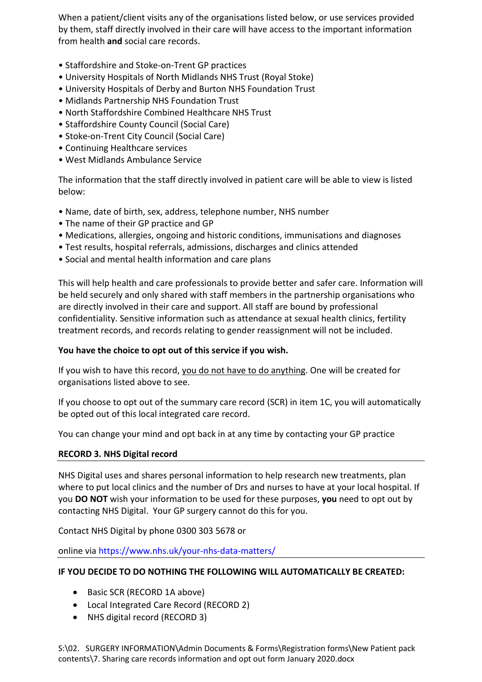When a patient/client visits any of the organisations listed below, or use services provided by them, staff directly involved in their care will have access to the important information from health and social care records.

- Staffordshire and Stoke-on-Trent GP practices
- University Hospitals of North Midlands NHS Trust (Royal Stoke)
- University Hospitals of Derby and Burton NHS Foundation Trust
- Midlands Partnership NHS Foundation Trust
- North Staffordshire Combined Healthcare NHS Trust
- Staffordshire County Council (Social Care)
- Stoke-on-Trent City Council (Social Care)
- Continuing Healthcare services
- West Midlands Ambulance Service

The information that the staff directly involved in patient care will be able to view is listed below:

- Name, date of birth, sex, address, telephone number, NHS number
- The name of their GP practice and GP
- Medications, allergies, ongoing and historic conditions, immunisations and diagnoses
- Test results, hospital referrals, admissions, discharges and clinics attended
- Social and mental health information and care plans

This will help health and care professionals to provide better and safer care. Information will be held securely and only shared with staff members in the partnership organisations who are directly involved in their care and support. All staff are bound by professional confidentiality. Sensitive information such as attendance at sexual health clinics, fertility treatment records, and records relating to gender reassignment will not be included.

#### You have the choice to opt out of this service if you wish.

If you wish to have this record, you do not have to do anything. One will be created for organisations listed above to see.

If you choose to opt out of the summary care record (SCR) in item 1C, you will automatically be opted out of this local integrated care record.

You can change your mind and opt back in at any time by contacting your GP practice

#### RECORD 3. NHS Digital record

NHS Digital uses and shares personal information to help research new treatments, plan where to put local clinics and the number of Drs and nurses to have at your local hospital. If you DO NOT wish your information to be used for these purposes, you need to opt out by contacting NHS Digital. Your GP surgery cannot do this for you.

Contact NHS Digital by phone 0300 303 5678 or

online via https://www.nhs.uk/your-nhs-data-matters/

#### IF YOU DECIDE TO DO NOTHING THE FOLLOWING WILL AUTOMATICALLY BE CREATED:

- Basic SCR (RECORD 1A above)
- Local Integrated Care Record (RECORD 2)
- NHS digital record (RECORD 3)

S:\02. SURGERY INFORMATION\Admin Documents & Forms\Registration forms\New Patient pack contents\7. Sharing care records information and opt out form January 2020.docx